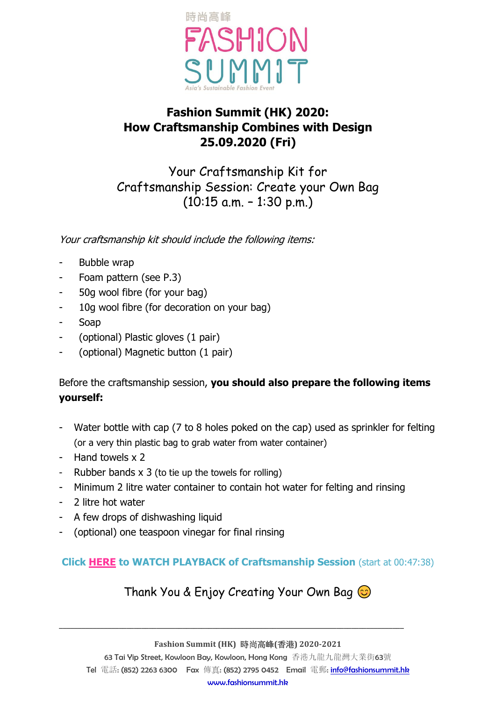

# **Fashion Summit (HK) 2020: How Craftsmanship Combines with Design 25.09.2020 (Fri)**

Your Craftsmanship Kit for Craftsmanship Session: Create your Own Bag  $(10:15$  a.m.  $-1:30$  p.m.)

Your craftsmanship kit should include the following items:

- Bubble wrap
- Foam pattern (see P.3)
- 50g wool fibre (for your bag)
- 10g wool fibre (for decoration on your bag)
- Soap
- (optional) Plastic gloves (1 pair)
- (optional) Magnetic button (1 pair)

Before the craftsmanship session, **you should also prepare the following items yourself:**

- Water bottle with cap (7 to 8 holes poked on the cap) used as sprinkler for felting (or a very thin plastic bag to grab water from water container)
- Hand towels x 2
- Rubber bands x 3 (to tie up the towels for rolling)
- Minimum 2 litre water container to contain hot water for felting and rinsing
- 2 litre hot water
- A few drops of dishwashing liquid
- (optional) one teaspoon vinegar for final rinsing

#### **Click [HERE](https://youtu.be/ePo2BQ20kNo) to WATCH PLAYBACK of Craftsmanship Session** (start at 00:47:38)

### Thank You & Enjoy Creating Your Own Bag  $\odot$

**Fashion Summit (HK)** 時尚高峰**(**香港**) 2020-2021**

**\_\_\_\_\_\_\_\_\_\_\_\_\_\_\_\_\_\_\_\_\_\_\_\_\_\_\_\_\_\_\_\_\_\_\_\_\_\_\_\_\_\_\_\_\_\_\_\_\_\_\_\_\_\_\_\_\_\_\_\_\_\_\_\_\_\_\_\_\_\_\_\_\_\_\_\_\_\_\_\_\_\_\_\_\_\_\_\_\_\_\_\_**

63 Tai Yip Street, Kowloon Bay, Kowloon, Hong Kong 香港九龍九龍灣大業街63號 Tel 電話: (852) 2263 6300 Fax 傳真: (852) 2795 0452 Email 電郵: [info@fashionsummit.hk](mailto:info@fashionsummit.hk) [www.fashionsummit.hk](http://www.fashionsummit.hk/)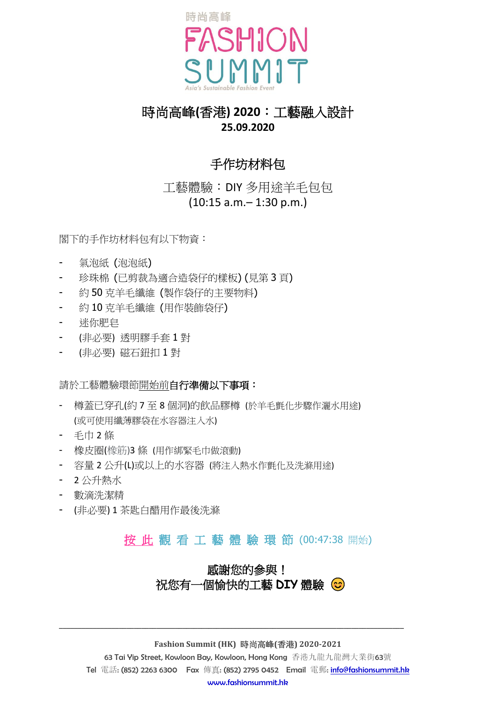

## 時尚高峰**(**香港**) 2020**︰工藝融入設計 **25.09.2020**

# 手作坊材料包

工藝體驗︰DIY 多用途羊毛包包 (10:15 a.m.– 1:30 p.m.)

閣下的手作坊材料包有以下物資:

- 氣泡紙 (泡泡紙)
- 珍珠棉 (已剪裁為適合造袋仔的樣板) (見第 3 頁)
- 約50 克羊毛纖維 (製作袋仔的主要物料)
- 約 10 克羊毛纖維 (用作裝飾袋仔)
- 迷你肥皂
- (非必要) 透明膠手套 1 對
- (非必要) 磁石鈕扣 1 對

請於工藝體驗環節開始前自行準備以下事項:

- 樽蓋已穿孔(約 7 至 8 個洞)的飲品膠樽 (於羊毛氈化步驟作灑水用途) (或可使用纖薄膠袋在水容器注入水)
- 毛巾 2 條
- 橡皮圈(橡筋)3 條 (用作綁緊毛巾做滾動)
- 容量 2 公升(L)或以上的水容器 (將注入熱水作氈化及洗滌用途)
- 2 公升熱水
- 數滴洗潔精
- (非必要) 1 茶匙白醋用作最後洗滌

# [按](https://youtu.be/ePo2BQ20kNo) 此 觀 看 工 藝 體 驗 環 節 (00:47:38 開始)

### 感謝您的參與! 祝您有一個愉快的工藝 **DIY** 體驗

#### **Fashion Summit (HK)** 時尚高峰**(**香港**) 2020-2021**

**\_\_\_\_\_\_\_\_\_\_\_\_\_\_\_\_\_\_\_\_\_\_\_\_\_\_\_\_\_\_\_\_\_\_\_\_\_\_\_\_\_\_\_\_\_\_\_\_\_\_\_\_\_\_\_\_\_\_\_\_\_\_\_\_\_\_\_\_\_\_\_\_\_\_\_\_\_\_\_\_\_\_\_\_\_\_\_\_\_\_\_\_**

63 Tai Yip Street, Kowloon Bay, Kowloon, Hong Kong 香港九龍九龍灣大業街63號 Tel 電話: (852) 2263 6300 Fax 傳真: (852) 2795 0452 Email 電郵: [info@fashionsummit.hk](mailto:info@fashionsummit.hk) [www.fashionsummit.hk](http://www.fashionsummit.hk/)